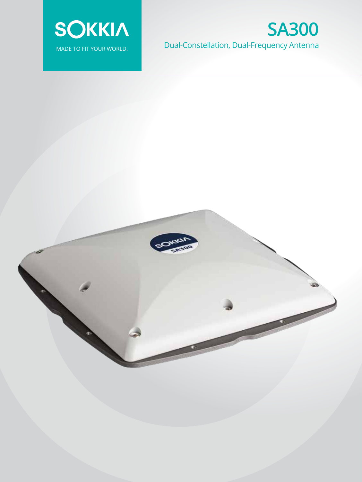

## **Fusion Technology** MADE TO FIT YOUR WORLD. COMBINING DUAL-CONStellation, Dual-Frequency Antenna